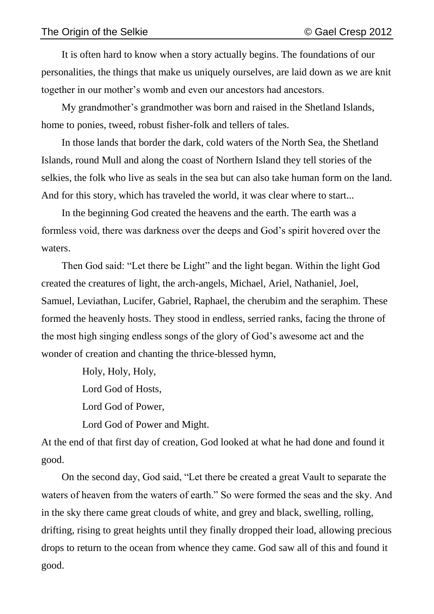It is often hard to know when a story actually begins. The foundations of our personalities, the things that make us uniquely ourselves, are laid down as we are knit together in our mother's womb and even our ancestors had ancestors.

My grandmother's grandmother was born and raised in the Shetland Islands, home to ponies, tweed, robust fisher-folk and tellers of tales.

In those lands that border the dark, cold waters of the North Sea, the Shetland Islands, round Mull and along the coast of Northern Island they tell stories of the selkies, the folk who live as seals in the sea but can also take human form on the land. And for this story, which has traveled the world, it was clear where to start...

In the beginning God created the heavens and the earth. The earth was a formless void, there was darkness over the deeps and God's spirit hovered over the waters.

Then God said: "Let there be Light" and the light began. Within the light God created the creatures of light, the arch-angels, Michael, Ariel, Nathaniel, Joel, Samuel, Leviathan, Lucifer, Gabriel, Raphael, the cherubim and the seraphim. These formed the heavenly hosts. They stood in endless, serried ranks, facing the throne of the most high singing endless songs of the glory of God's awesome act and the wonder of creation and chanting the thrice-blessed hymn,

Holy, Holy, Holy,

Lord God of Hosts,

Lord God of Power,

Lord God of Power and Might.

At the end of that first day of creation, God looked at what he had done and found it good.

On the second day, God said, "Let there be created a great Vault to separate the waters of heaven from the waters of earth." So were formed the seas and the sky. And in the sky there came great clouds of white, and grey and black, swelling, rolling, drifting, rising to great heights until they finally dropped their load, allowing precious drops to return to the ocean from whence they came. God saw all of this and found it good.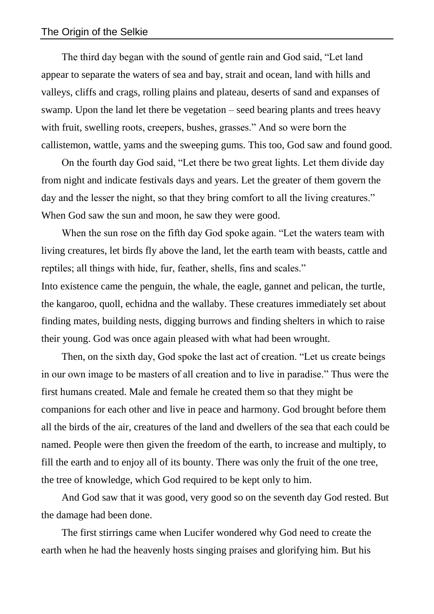The third day began with the sound of gentle rain and God said, "Let land appear to separate the waters of sea and bay, strait and ocean, land with hills and valleys, cliffs and crags, rolling plains and plateau, deserts of sand and expanses of swamp. Upon the land let there be vegetation – seed bearing plants and trees heavy with fruit, swelling roots, creepers, bushes, grasses." And so were born the callistemon, wattle, yams and the sweeping gums. This too, God saw and found good.

On the fourth day God said, "Let there be two great lights. Let them divide day from night and indicate festivals days and years. Let the greater of them govern the day and the lesser the night, so that they bring comfort to all the living creatures." When God saw the sun and moon, he saw they were good.

When the sun rose on the fifth day God spoke again. "Let the waters team with living creatures, let birds fly above the land, let the earth team with beasts, cattle and reptiles; all things with hide, fur, feather, shells, fins and scales."

Into existence came the penguin, the whale, the eagle, gannet and pelican, the turtle, the kangaroo, quoll, echidna and the wallaby. These creatures immediately set about finding mates, building nests, digging burrows and finding shelters in which to raise their young. God was once again pleased with what had been wrought.

Then, on the sixth day, God spoke the last act of creation. "Let us create beings in our own image to be masters of all creation and to live in paradise." Thus were the first humans created. Male and female he created them so that they might be companions for each other and live in peace and harmony. God brought before them all the birds of the air, creatures of the land and dwellers of the sea that each could be named. People were then given the freedom of the earth, to increase and multiply, to fill the earth and to enjoy all of its bounty. There was only the fruit of the one tree, the tree of knowledge, which God required to be kept only to him.

And God saw that it was good, very good so on the seventh day God rested. But the damage had been done.

The first stirrings came when Lucifer wondered why God need to create the earth when he had the heavenly hosts singing praises and glorifying him. But his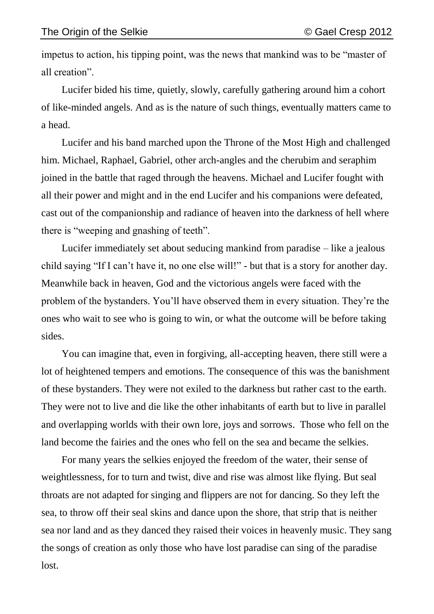impetus to action, his tipping point, was the news that mankind was to be "master of all creation".

Lucifer bided his time, quietly, slowly, carefully gathering around him a cohort of like-minded angels. And as is the nature of such things, eventually matters came to a head.

Lucifer and his band marched upon the Throne of the Most High and challenged him. Michael, Raphael, Gabriel, other arch-angles and the cherubim and seraphim joined in the battle that raged through the heavens. Michael and Lucifer fought with all their power and might and in the end Lucifer and his companions were defeated, cast out of the companionship and radiance of heaven into the darkness of hell where there is "weeping and gnashing of teeth".

Lucifer immediately set about seducing mankind from paradise – like a jealous child saying "If I can't have it, no one else will!" - but that is a story for another day. Meanwhile back in heaven, God and the victorious angels were faced with the problem of the bystanders. You'll have observed them in every situation. They're the ones who wait to see who is going to win, or what the outcome will be before taking sides.

You can imagine that, even in forgiving, all-accepting heaven, there still were a lot of heightened tempers and emotions. The consequence of this was the banishment of these bystanders. They were not exiled to the darkness but rather cast to the earth. They were not to live and die like the other inhabitants of earth but to live in parallel and overlapping worlds with their own lore, joys and sorrows. Those who fell on the land become the fairies and the ones who fell on the sea and became the selkies.

For many years the selkies enjoyed the freedom of the water, their sense of weightlessness, for to turn and twist, dive and rise was almost like flying. But seal throats are not adapted for singing and flippers are not for dancing. So they left the sea, to throw off their seal skins and dance upon the shore, that strip that is neither sea nor land and as they danced they raised their voices in heavenly music. They sang the songs of creation as only those who have lost paradise can sing of the paradise lost.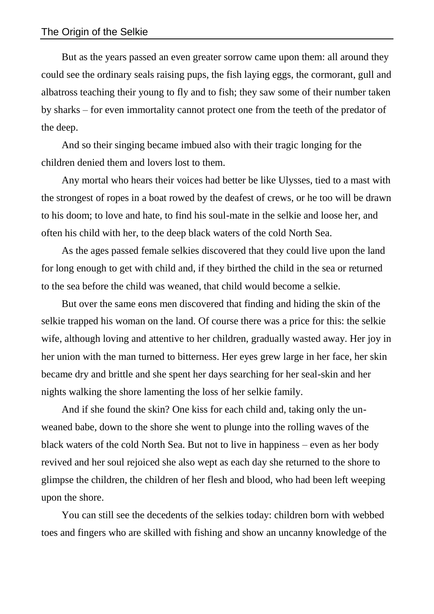But as the years passed an even greater sorrow came upon them: all around they could see the ordinary seals raising pups, the fish laying eggs, the cormorant, gull and albatross teaching their young to fly and to fish; they saw some of their number taken by sharks – for even immortality cannot protect one from the teeth of the predator of the deep.

And so their singing became imbued also with their tragic longing for the children denied them and lovers lost to them.

Any mortal who hears their voices had better be like Ulysses, tied to a mast with the strongest of ropes in a boat rowed by the deafest of crews, or he too will be drawn to his doom; to love and hate, to find his soul-mate in the selkie and loose her, and often his child with her, to the deep black waters of the cold North Sea.

As the ages passed female selkies discovered that they could live upon the land for long enough to get with child and, if they birthed the child in the sea or returned to the sea before the child was weaned, that child would become a selkie.

But over the same eons men discovered that finding and hiding the skin of the selkie trapped his woman on the land. Of course there was a price for this: the selkie wife, although loving and attentive to her children, gradually wasted away. Her joy in her union with the man turned to bitterness. Her eyes grew large in her face, her skin became dry and brittle and she spent her days searching for her seal-skin and her nights walking the shore lamenting the loss of her selkie family.

And if she found the skin? One kiss for each child and, taking only the unweaned babe, down to the shore she went to plunge into the rolling waves of the black waters of the cold North Sea. But not to live in happiness – even as her body revived and her soul rejoiced she also wept as each day she returned to the shore to glimpse the children, the children of her flesh and blood, who had been left weeping upon the shore.

You can still see the decedents of the selkies today: children born with webbed toes and fingers who are skilled with fishing and show an uncanny knowledge of the